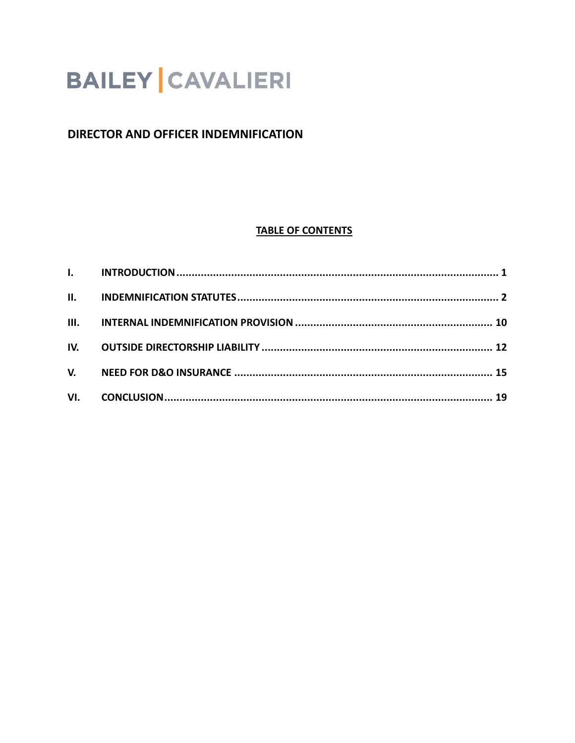# **BAILEY CAVALIERI**

# **DIRECTOR AND OFFICER INDEMNIFICATION**

## **TABLE OF CONTENTS**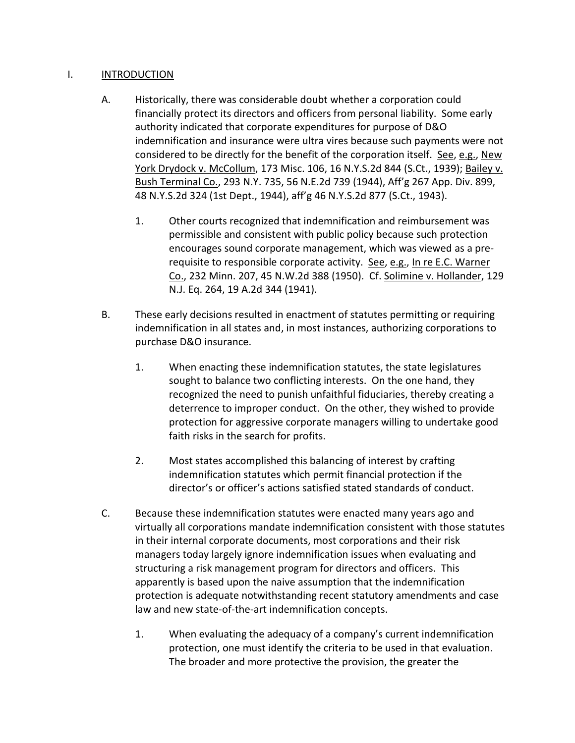#### I. INTRODUCTION

- A. Historically, there was considerable doubt whether a corporation could financially protect its directors and officers from personal liability. Some early authority indicated that corporate expenditures for purpose of D&O indemnification and insurance were ultra vires because such payments were not considered to be directly for the benefit of the corporation itself. See, e.g., New York Drydock v. McCollum, 173 Misc. 106, 16 N.Y.S.2d 844 (S.Ct., 1939); Bailey v. Bush Terminal Co., 293 N.Y. 735, 56 N.E.2d 739 (1944), Aff'g 267 App. Div. 899, 48 N.Y.S.2d 324 (1st Dept., 1944), aff'g 46 N.Y.S.2d 877 (S.Ct., 1943).
	- 1. Other courts recognized that indemnification and reimbursement was permissible and consistent with public policy because such protection encourages sound corporate management, which was viewed as a prerequisite to responsible corporate activity. See, e.g., In re E.C. Warner Co., 232 Minn. 207, 45 N.W.2d 388 (1950). Cf. Solimine v. Hollander, 129 N.J. Eq. 264, 19 A.2d 344 (1941).
- B. These early decisions resulted in enactment of statutes permitting or requiring indemnification in all states and, in most instances, authorizing corporations to purchase D&O insurance.
	- 1. When enacting these indemnification statutes, the state legislatures sought to balance two conflicting interests. On the one hand, they recognized the need to punish unfaithful fiduciaries, thereby creating a deterrence to improper conduct. On the other, they wished to provide protection for aggressive corporate managers willing to undertake good faith risks in the search for profits.
	- 2. Most states accomplished this balancing of interest by crafting indemnification statutes which permit financial protection if the director's or officer's actions satisfied stated standards of conduct.
- C. Because these indemnification statutes were enacted many years ago and virtually all corporations mandate indemnification consistent with those statutes in their internal corporate documents, most corporations and their risk managers today largely ignore indemnification issues when evaluating and structuring a risk management program for directors and officers. This apparently is based upon the naive assumption that the indemnification protection is adequate notwithstanding recent statutory amendments and case law and new state-of-the-art indemnification concepts.
	- 1. When evaluating the adequacy of a company's current indemnification protection, one must identify the criteria to be used in that evaluation. The broader and more protective the provision, the greater the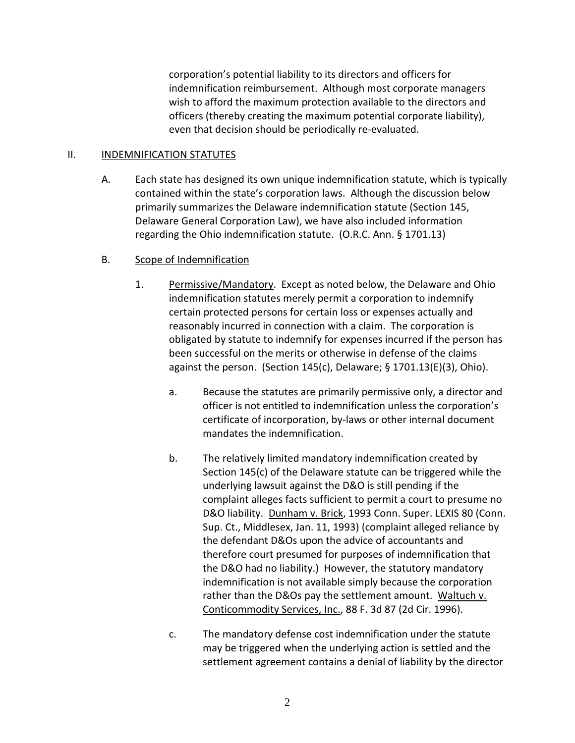corporation's potential liability to its directors and officers for indemnification reimbursement. Although most corporate managers wish to afford the maximum protection available to the directors and officers (thereby creating the maximum potential corporate liability), even that decision should be periodically re-evaluated.

#### II. INDEMNIFICATION STATUTES

A. Each state has designed its own unique indemnification statute, which is typically contained within the state's corporation laws. Although the discussion below primarily summarizes the Delaware indemnification statute (Section 145, Delaware General Corporation Law), we have also included information regarding the Ohio indemnification statute. (O.R.C. Ann. § 1701.13)

## B. Scope of Indemnification

- 1. Permissive/Mandatory. Except as noted below, the Delaware and Ohio indemnification statutes merely permit a corporation to indemnify certain protected persons for certain loss or expenses actually and reasonably incurred in connection with a claim. The corporation is obligated by statute to indemnify for expenses incurred if the person has been successful on the merits or otherwise in defense of the claims against the person. (Section 145(c), Delaware; § 1701.13(E)(3), Ohio).
	- a. Because the statutes are primarily permissive only, a director and officer is not entitled to indemnification unless the corporation's certificate of incorporation, by-laws or other internal document mandates the indemnification.
	- b. The relatively limited mandatory indemnification created by Section 145(c) of the Delaware statute can be triggered while the underlying lawsuit against the D&O is still pending if the complaint alleges facts sufficient to permit a court to presume no D&O liability. Dunham v. Brick, 1993 Conn. Super. LEXIS 80 (Conn. Sup. Ct., Middlesex, Jan. 11, 1993) (complaint alleged reliance by the defendant D&Os upon the advice of accountants and therefore court presumed for purposes of indemnification that the D&O had no liability.) However, the statutory mandatory indemnification is not available simply because the corporation rather than the D&Os pay the settlement amount. Waltuch v. Conticommodity Services, Inc., 88 F. 3d 87 (2d Cir. 1996).
	- c. The mandatory defense cost indemnification under the statute may be triggered when the underlying action is settled and the settlement agreement contains a denial of liability by the director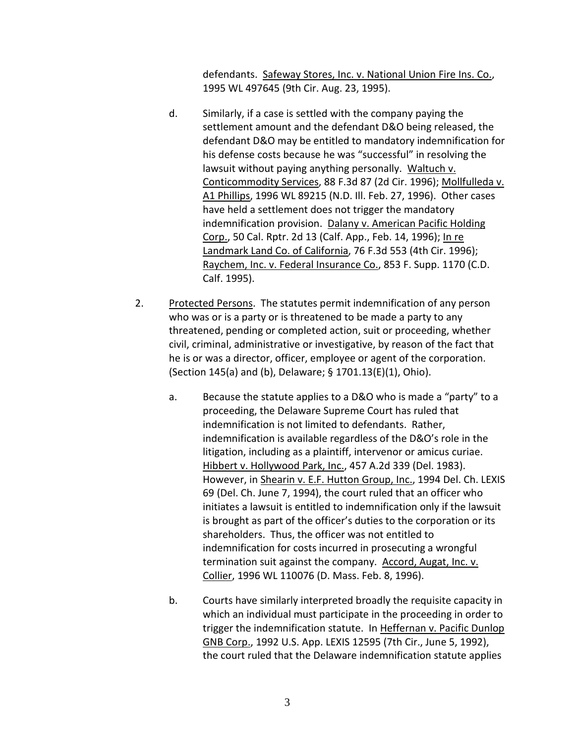defendants. Safeway Stores, Inc. v. National Union Fire Ins. Co., 1995 WL 497645 (9th Cir. Aug. 23, 1995).

- d. Similarly, if a case is settled with the company paying the settlement amount and the defendant D&O being released, the defendant D&O may be entitled to mandatory indemnification for his defense costs because he was "successful" in resolving the lawsuit without paying anything personally. Waltuch v. Conticommodity Services, 88 F.3d 87 (2d Cir. 1996); Mollfulleda v. A1 Phillips, 1996 WL 89215 (N.D. Ill. Feb. 27, 1996). Other cases have held a settlement does not trigger the mandatory indemnification provision. Dalany v. American Pacific Holding Corp., 50 Cal. Rptr. 2d 13 (Calf. App., Feb. 14, 1996); In re Landmark Land Co. of California, 76 F.3d 553 (4th Cir. 1996); Raychem, Inc. v. Federal Insurance Co., 853 F. Supp. 1170 (C.D. Calf. 1995).
- 2. Protected Persons. The statutes permit indemnification of any person who was or is a party or is threatened to be made a party to any threatened, pending or completed action, suit or proceeding, whether civil, criminal, administrative or investigative, by reason of the fact that he is or was a director, officer, employee or agent of the corporation. (Section 145(a) and (b), Delaware; § 1701.13(E)(1), Ohio).
	- a. Because the statute applies to a D&O who is made a "party" to a proceeding, the Delaware Supreme Court has ruled that indemnification is not limited to defendants. Rather, indemnification is available regardless of the D&O's role in the litigation, including as a plaintiff, intervenor or amicus curiae. Hibbert v. Hollywood Park, Inc., 457 A.2d 339 (Del. 1983). However, in Shearin v. E.F. Hutton Group, Inc., 1994 Del. Ch. LEXIS 69 (Del. Ch. June 7, 1994), the court ruled that an officer who initiates a lawsuit is entitled to indemnification only if the lawsuit is brought as part of the officer's duties to the corporation or its shareholders. Thus, the officer was not entitled to indemnification for costs incurred in prosecuting a wrongful termination suit against the company. Accord, Augat, Inc. v. Collier, 1996 WL 110076 (D. Mass. Feb. 8, 1996).
	- b. Courts have similarly interpreted broadly the requisite capacity in which an individual must participate in the proceeding in order to trigger the indemnification statute. In Heffernan v. Pacific Dunlop GNB Corp., 1992 U.S. App. LEXIS 12595 (7th Cir., June 5, 1992), the court ruled that the Delaware indemnification statute applies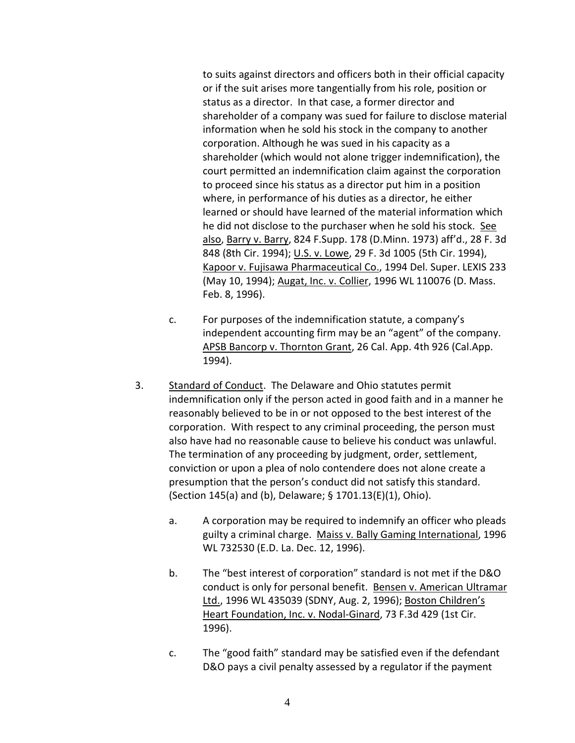to suits against directors and officers both in their official capacity or if the suit arises more tangentially from his role, position or status as a director. In that case, a former director and shareholder of a company was sued for failure to disclose material information when he sold his stock in the company to another corporation. Although he was sued in his capacity as a shareholder (which would not alone trigger indemnification), the court permitted an indemnification claim against the corporation to proceed since his status as a director put him in a position where, in performance of his duties as a director, he either learned or should have learned of the material information which he did not disclose to the purchaser when he sold his stock. See also, Barry v. Barry, 824 F.Supp. 178 (D.Minn. 1973) aff'd., 28 F. 3d 848 (8th Cir. 1994); U.S. v. Lowe, 29 F. 3d 1005 (5th Cir. 1994), Kapoor v. Fujisawa Pharmaceutical Co., 1994 Del. Super. LEXIS 233 (May 10, 1994); Augat, Inc. v. Collier, 1996 WL 110076 (D. Mass. Feb. 8, 1996).

- c. For purposes of the indemnification statute, a company's independent accounting firm may be an "agent" of the company. APSB Bancorp v. Thornton Grant, 26 Cal. App. 4th 926 (Cal.App. 1994).
- 3. Standard of Conduct. The Delaware and Ohio statutes permit indemnification only if the person acted in good faith and in a manner he reasonably believed to be in or not opposed to the best interest of the corporation. With respect to any criminal proceeding, the person must also have had no reasonable cause to believe his conduct was unlawful. The termination of any proceeding by judgment, order, settlement, conviction or upon a plea of nolo contendere does not alone create a presumption that the person's conduct did not satisfy this standard. (Section 145(a) and (b), Delaware; § 1701.13(E)(1), Ohio).
	- a. A corporation may be required to indemnify an officer who pleads guilty a criminal charge. Maiss v. Bally Gaming International, 1996 WL 732530 (E.D. La. Dec. 12, 1996).
	- b. The "best interest of corporation" standard is not met if the D&O conduct is only for personal benefit. Bensen v. American Ultramar Ltd., 1996 WL 435039 (SDNY, Aug. 2, 1996); Boston Children's Heart Foundation, Inc. v. Nodal-Ginard, 73 F.3d 429 (1st Cir. 1996).
	- c. The "good faith" standard may be satisfied even if the defendant D&O pays a civil penalty assessed by a regulator if the payment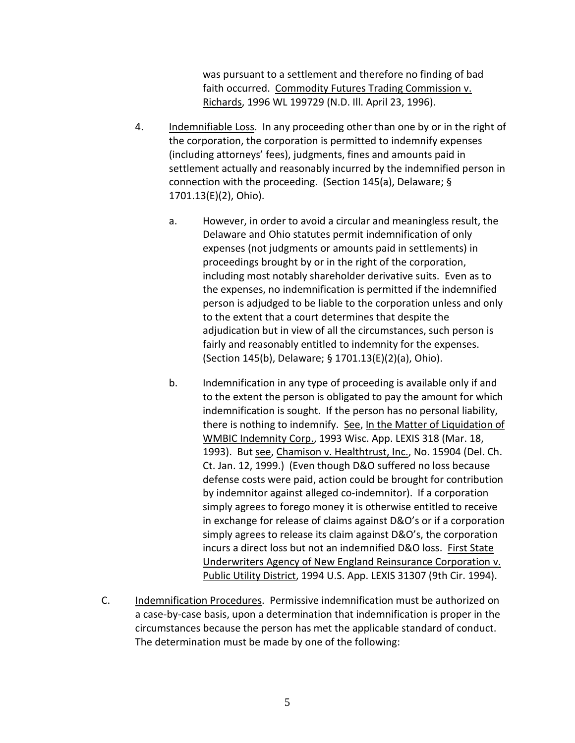was pursuant to a settlement and therefore no finding of bad faith occurred. Commodity Futures Trading Commission v. Richards, 1996 WL 199729 (N.D. Ill. April 23, 1996).

- 4. Indemnifiable Loss. In any proceeding other than one by or in the right of the corporation, the corporation is permitted to indemnify expenses (including attorneys' fees), judgments, fines and amounts paid in settlement actually and reasonably incurred by the indemnified person in connection with the proceeding. (Section 145(a), Delaware; § 1701.13(E)(2), Ohio).
	- a. However, in order to avoid a circular and meaningless result, the Delaware and Ohio statutes permit indemnification of only expenses (not judgments or amounts paid in settlements) in proceedings brought by or in the right of the corporation, including most notably shareholder derivative suits. Even as to the expenses, no indemnification is permitted if the indemnified person is adjudged to be liable to the corporation unless and only to the extent that a court determines that despite the adjudication but in view of all the circumstances, such person is fairly and reasonably entitled to indemnity for the expenses. (Section 145(b), Delaware; § 1701.13(E)(2)(a), Ohio).
	- b. Indemnification in any type of proceeding is available only if and to the extent the person is obligated to pay the amount for which indemnification is sought. If the person has no personal liability, there is nothing to indemnify. See, In the Matter of Liquidation of WMBIC Indemnity Corp., 1993 Wisc. App. LEXIS 318 (Mar. 18, 1993). But see, Chamison v. Healthtrust, Inc., No. 15904 (Del. Ch. Ct. Jan. 12, 1999.) (Even though D&O suffered no loss because defense costs were paid, action could be brought for contribution by indemnitor against alleged co-indemnitor). If a corporation simply agrees to forego money it is otherwise entitled to receive in exchange for release of claims against D&O's or if a corporation simply agrees to release its claim against D&O's, the corporation incurs a direct loss but not an indemnified D&O loss. First State Underwriters Agency of New England Reinsurance Corporation v. Public Utility District, 1994 U.S. App. LEXIS 31307 (9th Cir. 1994).
- C. Indemnification Procedures. Permissive indemnification must be authorized on a case-by-case basis, upon a determination that indemnification is proper in the circumstances because the person has met the applicable standard of conduct. The determination must be made by one of the following: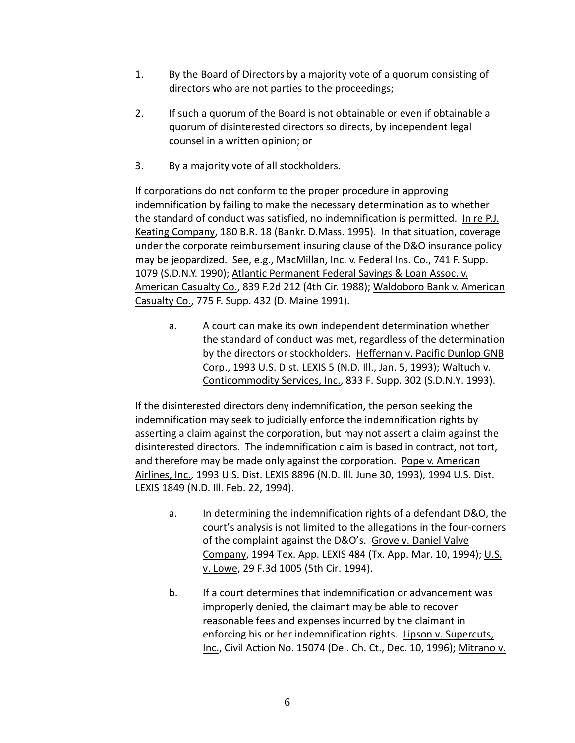- 1. By the Board of Directors by a majority vote of a quorum consisting of directors who are not parties to the proceedings;
- 2. If such a quorum of the Board is not obtainable or even if obtainable a quorum of disinterested directors so directs, by independent legal counsel in a written opinion; or
- 3. By a majority vote of all stockholders.

If corporations do not conform to the proper procedure in approving indemnification by failing to make the necessary determination as to whether the standard of conduct was satisfied, no indemnification is permitted. In re P.J. Keating Company, 180 B.R. 18 (Bankr. D.Mass. 1995). In that situation, coverage under the corporate reimbursement insuring clause of the D&O insurance policy may be jeopardized. See, e.g., MacMillan, Inc. v. Federal Ins. Co., 741 F. Supp. 1079 (S.D.N.Y. 1990); Atlantic Permanent Federal Savings & Loan Assoc. v. American Casualty Co., 839 F.2d 212 (4th Cir. 1988); Waldoboro Bank v. American Casualty Co., 775 F. Supp. 432 (D. Maine 1991).

a. A court can make its own independent determination whether the standard of conduct was met, regardless of the determination by the directors or stockholders. Heffernan v. Pacific Dunlop GNB Corp., 1993 U.S. Dist. LEXIS 5 (N.D. Ill., Jan. 5, 1993); Waltuch v. Conticommodity Services, Inc., 833 F. Supp. 302 (S.D.N.Y. 1993).

If the disinterested directors deny indemnification, the person seeking the indemnification may seek to judicially enforce the indemnification rights by asserting a claim against the corporation, but may not assert a claim against the disinterested directors. The indemnification claim is based in contract, not tort, and therefore may be made only against the corporation. Pope v. American Airlines, Inc., 1993 U.S. Dist. LEXIS 8896 (N.D. Ill. June 30, 1993), 1994 U.S. Dist. LEXIS 1849 (N.D. Ill. Feb. 22, 1994).

- a. In determining the indemnification rights of a defendant D&O, the court's analysis is not limited to the allegations in the four-corners of the complaint against the D&O's. Grove v. Daniel Valve Company, 1994 Tex. App. LEXIS 484 (Tx. App. Mar. 10, 1994); U.S. v. Lowe, 29 F.3d 1005 (5th Cir. 1994).
- b. If a court determines that indemnification or advancement was improperly denied, the claimant may be able to recover reasonable fees and expenses incurred by the claimant in enforcing his or her indemnification rights. Lipson v. Supercuts, Inc., Civil Action No. 15074 (Del. Ch. Ct., Dec. 10, 1996); Mitrano v.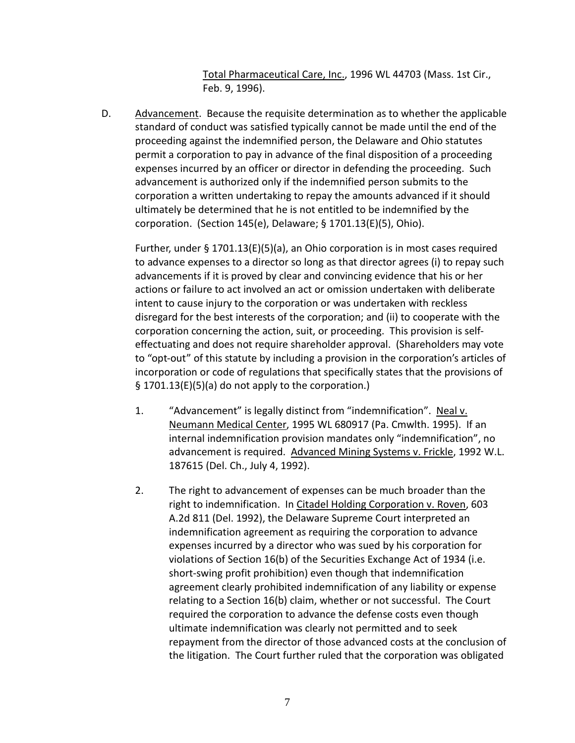Total Pharmaceutical Care, Inc., 1996 WL 44703 (Mass. 1st Cir., Feb. 9, 1996).

D. Advancement. Because the requisite determination as to whether the applicable standard of conduct was satisfied typically cannot be made until the end of the proceeding against the indemnified person, the Delaware and Ohio statutes permit a corporation to pay in advance of the final disposition of a proceeding expenses incurred by an officer or director in defending the proceeding. Such advancement is authorized only if the indemnified person submits to the corporation a written undertaking to repay the amounts advanced if it should ultimately be determined that he is not entitled to be indemnified by the corporation. (Section 145(e), Delaware; § 1701.13(E)(5), Ohio).

Further, under § 1701.13(E)(5)(a), an Ohio corporation is in most cases required to advance expenses to a director so long as that director agrees (i) to repay such advancements if it is proved by clear and convincing evidence that his or her actions or failure to act involved an act or omission undertaken with deliberate intent to cause injury to the corporation or was undertaken with reckless disregard for the best interests of the corporation; and (ii) to cooperate with the corporation concerning the action, suit, or proceeding. This provision is selfeffectuating and does not require shareholder approval. (Shareholders may vote to "opt-out" of this statute by including a provision in the corporation's articles of incorporation or code of regulations that specifically states that the provisions of § 1701.13(E)(5)(a) do not apply to the corporation.)

- 1. "Advancement" is legally distinct from "indemnification". Neal v. Neumann Medical Center, 1995 WL 680917 (Pa. Cmwlth. 1995). If an internal indemnification provision mandates only "indemnification", no advancement is required. Advanced Mining Systems v. Frickle, 1992 W.L. 187615 (Del. Ch., July 4, 1992).
- 2. The right to advancement of expenses can be much broader than the right to indemnification. In Citadel Holding Corporation v. Roven, 603 A.2d 811 (Del. 1992), the Delaware Supreme Court interpreted an indemnification agreement as requiring the corporation to advance expenses incurred by a director who was sued by his corporation for violations of Section 16(b) of the Securities Exchange Act of 1934 (i.e. short-swing profit prohibition) even though that indemnification agreement clearly prohibited indemnification of any liability or expense relating to a Section 16(b) claim, whether or not successful. The Court required the corporation to advance the defense costs even though ultimate indemnification was clearly not permitted and to seek repayment from the director of those advanced costs at the conclusion of the litigation. The Court further ruled that the corporation was obligated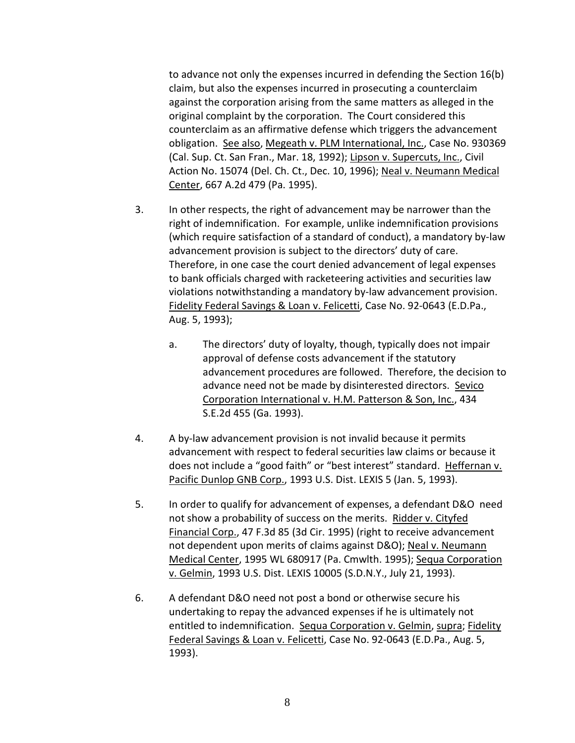to advance not only the expenses incurred in defending the Section 16(b) claim, but also the expenses incurred in prosecuting a counterclaim against the corporation arising from the same matters as alleged in the original complaint by the corporation. The Court considered this counterclaim as an affirmative defense which triggers the advancement obligation. See also, Megeath v. PLM International, Inc., Case No. 930369 (Cal. Sup. Ct. San Fran., Mar. 18, 1992); Lipson v. Supercuts, Inc., Civil Action No. 15074 (Del. Ch. Ct., Dec. 10, 1996); Neal v. Neumann Medical Center, 667 A.2d 479 (Pa. 1995).

- 3. In other respects, the right of advancement may be narrower than the right of indemnification. For example, unlike indemnification provisions (which require satisfaction of a standard of conduct), a mandatory by-law advancement provision is subject to the directors' duty of care. Therefore, in one case the court denied advancement of legal expenses to bank officials charged with racketeering activities and securities law violations notwithstanding a mandatory by-law advancement provision. Fidelity Federal Savings & Loan v. Felicetti, Case No. 92-0643 (E.D.Pa., Aug. 5, 1993);
	- a. The directors' duty of loyalty, though, typically does not impair approval of defense costs advancement if the statutory advancement procedures are followed. Therefore, the decision to advance need not be made by disinterested directors. Sevico Corporation International v. H.M. Patterson & Son, Inc., 434 S.E.2d 455 (Ga. 1993).
- 4. A by-law advancement provision is not invalid because it permits advancement with respect to federal securities law claims or because it does not include a "good faith" or "best interest" standard. Heffernan v. Pacific Dunlop GNB Corp., 1993 U.S. Dist. LEXIS 5 (Jan. 5, 1993).
- 5. In order to qualify for advancement of expenses, a defendant D&O need not show a probability of success on the merits. Ridder v. Cityfed Financial Corp., 47 F.3d 85 (3d Cir. 1995) (right to receive advancement not dependent upon merits of claims against D&O); Neal v. Neumann Medical Center, 1995 WL 680917 (Pa. Cmwlth. 1995); Sequa Corporation v. Gelmin, 1993 U.S. Dist. LEXIS 10005 (S.D.N.Y., July 21, 1993).
- 6. A defendant D&O need not post a bond or otherwise secure his undertaking to repay the advanced expenses if he is ultimately not entitled to indemnification. Sequa Corporation v. Gelmin, supra; Fidelity Federal Savings & Loan v. Felicetti, Case No. 92-0643 (E.D.Pa., Aug. 5, 1993).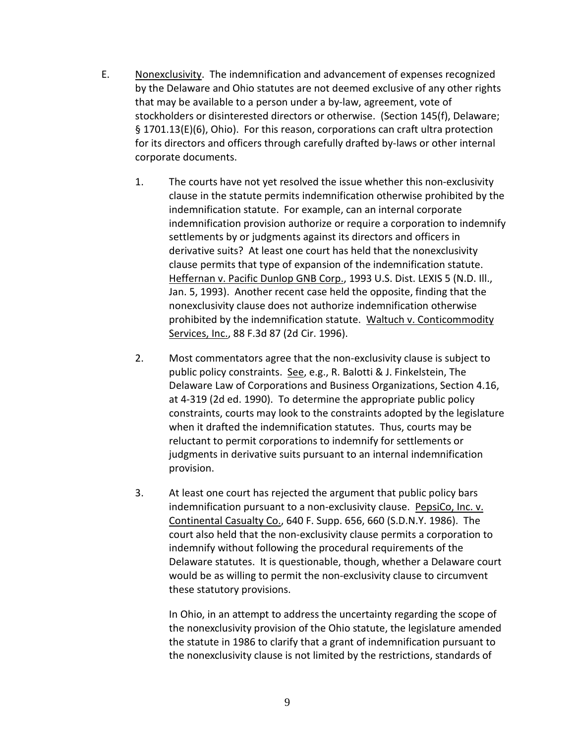- E. Nonexclusivity. The indemnification and advancement of expenses recognized by the Delaware and Ohio statutes are not deemed exclusive of any other rights that may be available to a person under a by-law, agreement, vote of stockholders or disinterested directors or otherwise. (Section 145(f), Delaware; § 1701.13(E)(6), Ohio). For this reason, corporations can craft ultra protection for its directors and officers through carefully drafted by-laws or other internal corporate documents.
	- 1. The courts have not yet resolved the issue whether this non-exclusivity clause in the statute permits indemnification otherwise prohibited by the indemnification statute. For example, can an internal corporate indemnification provision authorize or require a corporation to indemnify settlements by or judgments against its directors and officers in derivative suits? At least one court has held that the nonexclusivity clause permits that type of expansion of the indemnification statute. Heffernan v. Pacific Dunlop GNB Corp., 1993 U.S. Dist. LEXIS 5 (N.D. III., Jan. 5, 1993). Another recent case held the opposite, finding that the nonexclusivity clause does not authorize indemnification otherwise prohibited by the indemnification statute. Waltuch v. Conticommodity Services, Inc., 88 F.3d 87 (2d Cir. 1996).
	- 2. Most commentators agree that the non-exclusivity clause is subject to public policy constraints. See, e.g., R. Balotti & J. Finkelstein, The Delaware Law of Corporations and Business Organizations, Section 4.16, at 4-319 (2d ed. 1990). To determine the appropriate public policy constraints, courts may look to the constraints adopted by the legislature when it drafted the indemnification statutes. Thus, courts may be reluctant to permit corporations to indemnify for settlements or judgments in derivative suits pursuant to an internal indemnification provision.
	- 3. At least one court has rejected the argument that public policy bars indemnification pursuant to a non-exclusivity clause. PepsiCo, Inc. v. Continental Casualty Co., 640 F. Supp. 656, 660 (S.D.N.Y. 1986). The court also held that the non-exclusivity clause permits a corporation to indemnify without following the procedural requirements of the Delaware statutes. It is questionable, though, whether a Delaware court would be as willing to permit the non-exclusivity clause to circumvent these statutory provisions.

In Ohio, in an attempt to address the uncertainty regarding the scope of the nonexclusivity provision of the Ohio statute, the legislature amended the statute in 1986 to clarify that a grant of indemnification pursuant to the nonexclusivity clause is not limited by the restrictions, standards of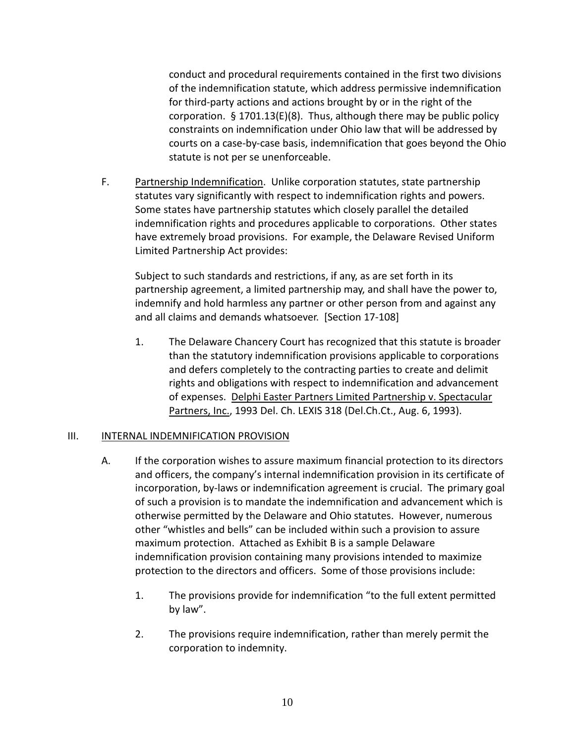conduct and procedural requirements contained in the first two divisions of the indemnification statute, which address permissive indemnification for third-party actions and actions brought by or in the right of the corporation. § 1701.13(E)(8). Thus, although there may be public policy constraints on indemnification under Ohio law that will be addressed by courts on a case-by-case basis, indemnification that goes beyond the Ohio statute is not per se unenforceable.

F. Partnership Indemnification. Unlike corporation statutes, state partnership statutes vary significantly with respect to indemnification rights and powers. Some states have partnership statutes which closely parallel the detailed indemnification rights and procedures applicable to corporations. Other states have extremely broad provisions. For example, the Delaware Revised Uniform Limited Partnership Act provides:

Subject to such standards and restrictions, if any, as are set forth in its partnership agreement, a limited partnership may, and shall have the power to, indemnify and hold harmless any partner or other person from and against any and all claims and demands whatsoever. [Section 17-108]

1. The Delaware Chancery Court has recognized that this statute is broader than the statutory indemnification provisions applicable to corporations and defers completely to the contracting parties to create and delimit rights and obligations with respect to indemnification and advancement of expenses. Delphi Easter Partners Limited Partnership v. Spectacular Partners, Inc., 1993 Del. Ch. LEXIS 318 (Del.Ch.Ct., Aug. 6, 1993).

#### III. INTERNAL INDEMNIFICATION PROVISION

- A. If the corporation wishes to assure maximum financial protection to its directors and officers, the company's internal indemnification provision in its certificate of incorporation, by-laws or indemnification agreement is crucial. The primary goal of such a provision is to mandate the indemnification and advancement which is otherwise permitted by the Delaware and Ohio statutes. However, numerous other "whistles and bells" can be included within such a provision to assure maximum protection. Attached as Exhibit B is a sample Delaware indemnification provision containing many provisions intended to maximize protection to the directors and officers. Some of those provisions include:
	- 1. The provisions provide for indemnification "to the full extent permitted by law".
	- 2. The provisions require indemnification, rather than merely permit the corporation to indemnity.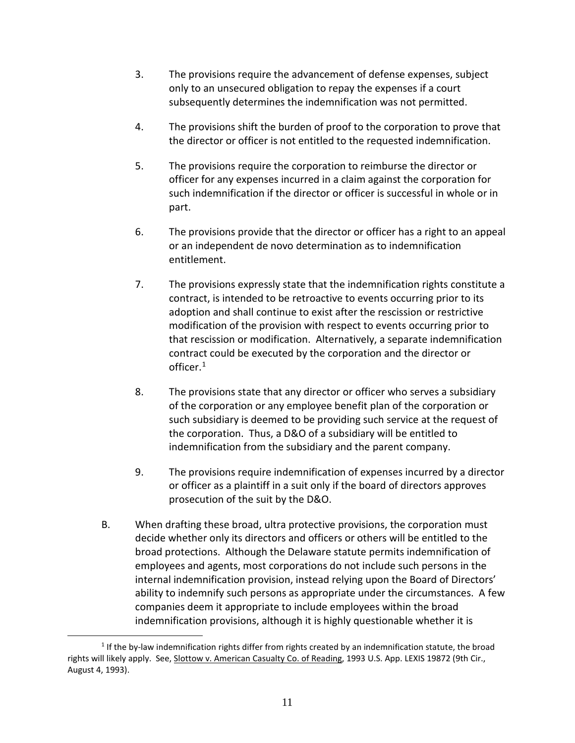- 3. The provisions require the advancement of defense expenses, subject only to an unsecured obligation to repay the expenses if a court subsequently determines the indemnification was not permitted.
- 4. The provisions shift the burden of proof to the corporation to prove that the director or officer is not entitled to the requested indemnification.
- 5. The provisions require the corporation to reimburse the director or officer for any expenses incurred in a claim against the corporation for such indemnification if the director or officer is successful in whole or in part.
- 6. The provisions provide that the director or officer has a right to an appeal or an independent de novo determination as to indemnification entitlement.
- 7. The provisions expressly state that the indemnification rights constitute a contract, is intended to be retroactive to events occurring prior to its adoption and shall continue to exist after the rescission or restrictive modification of the provision with respect to events occurring prior to that rescission or modification. Alternatively, a separate indemnification contract could be executed by the corporation and the director or officer.[1](#page-11-0)
- 8. The provisions state that any director or officer who serves a subsidiary of the corporation or any employee benefit plan of the corporation or such subsidiary is deemed to be providing such service at the request of the corporation. Thus, a D&O of a subsidiary will be entitled to indemnification from the subsidiary and the parent company.
- 9. The provisions require indemnification of expenses incurred by a director or officer as a plaintiff in a suit only if the board of directors approves prosecution of the suit by the D&O.
- B. When drafting these broad, ultra protective provisions, the corporation must decide whether only its directors and officers or others will be entitled to the broad protections. Although the Delaware statute permits indemnification of employees and agents, most corporations do not include such persons in the internal indemnification provision, instead relying upon the Board of Directors' ability to indemnify such persons as appropriate under the circumstances. A few companies deem it appropriate to include employees within the broad indemnification provisions, although it is highly questionable whether it is

<span id="page-11-0"></span> $\overline{a}$  $1$  If the by-law indemnification rights differ from rights created by an indemnification statute, the broad rights will likely apply. See, Slottow v. American Casualty Co. of Reading, 1993 U.S. App. LEXIS 19872 (9th Cir., August 4, 1993).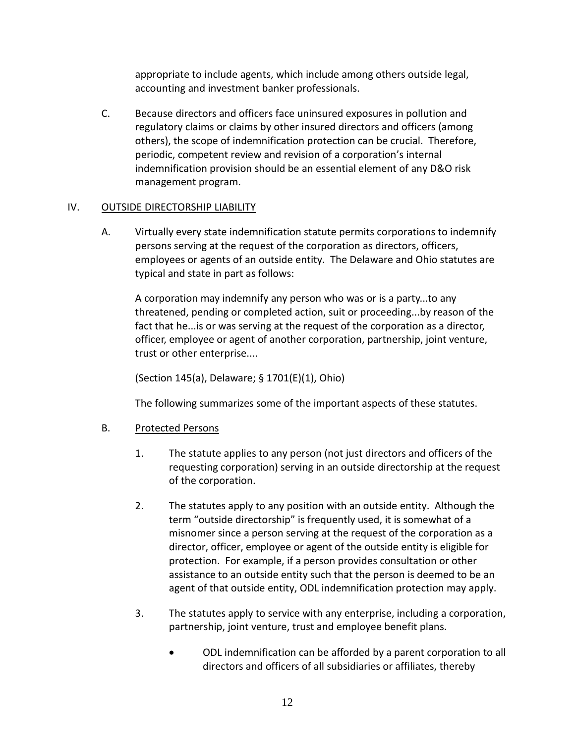appropriate to include agents, which include among others outside legal, accounting and investment banker professionals.

C. Because directors and officers face uninsured exposures in pollution and regulatory claims or claims by other insured directors and officers (among others), the scope of indemnification protection can be crucial. Therefore, periodic, competent review and revision of a corporation's internal indemnification provision should be an essential element of any D&O risk management program.

## IV. OUTSIDE DIRECTORSHIP LIABILITY

A. Virtually every state indemnification statute permits corporations to indemnify persons serving at the request of the corporation as directors, officers, employees or agents of an outside entity. The Delaware and Ohio statutes are typical and state in part as follows:

A corporation may indemnify any person who was or is a party...to any threatened, pending or completed action, suit or proceeding...by reason of the fact that he...is or was serving at the request of the corporation as a director, officer, employee or agent of another corporation, partnership, joint venture, trust or other enterprise....

(Section 145(a), Delaware; § 1701(E)(1), Ohio)

The following summarizes some of the important aspects of these statutes.

## B. Protected Persons

- 1. The statute applies to any person (not just directors and officers of the requesting corporation) serving in an outside directorship at the request of the corporation.
- 2. The statutes apply to any position with an outside entity. Although the term "outside directorship" is frequently used, it is somewhat of a misnomer since a person serving at the request of the corporation as a director, officer, employee or agent of the outside entity is eligible for protection. For example, if a person provides consultation or other assistance to an outside entity such that the person is deemed to be an agent of that outside entity, ODL indemnification protection may apply.
- 3. The statutes apply to service with any enterprise, including a corporation, partnership, joint venture, trust and employee benefit plans.
	- ODL indemnification can be afforded by a parent corporation to all directors and officers of all subsidiaries or affiliates, thereby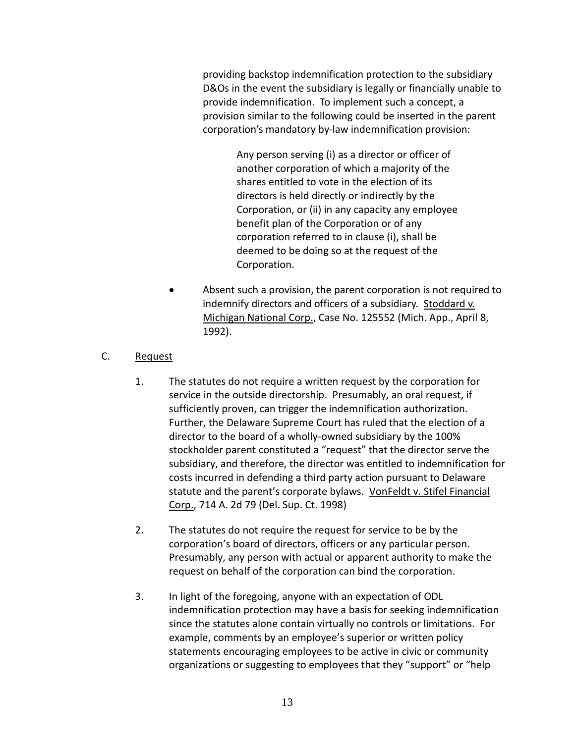providing backstop indemnification protection to the subsidiary D&Os in the event the subsidiary is legally or financially unable to provide indemnification. To implement such a concept, a provision similar to the following could be inserted in the parent corporation's mandatory by-law indemnification provision:

> Any person serving (i) as a director or officer of another corporation of which a majority of the shares entitled to vote in the election of its directors is held directly or indirectly by the Corporation, or (ii) in any capacity any employee benefit plan of the Corporation or of any corporation referred to in clause (i), shall be deemed to be doing so at the request of the Corporation.

Absent such a provision, the parent corporation is not required to indemnify directors and officers of a subsidiary. Stoddard v. Michigan National Corp., Case No. 125552 (Mich. App., April 8, 1992).

## C. Request

- 1. The statutes do not require a written request by the corporation for service in the outside directorship. Presumably, an oral request, if sufficiently proven, can trigger the indemnification authorization. Further, the Delaware Supreme Court has ruled that the election of a director to the board of a wholly-owned subsidiary by the 100% stockholder parent constituted a "request" that the director serve the subsidiary, and therefore, the director was entitled to indemnification for costs incurred in defending a third party action pursuant to Delaware statute and the parent's corporate bylaws. VonFeldt v. Stifel Financial Corp., 714 A. 2d 79 (Del. Sup. Ct. 1998)
- 2. The statutes do not require the request for service to be by the corporation's board of directors, officers or any particular person. Presumably, any person with actual or apparent authority to make the request on behalf of the corporation can bind the corporation.
- 3. In light of the foregoing, anyone with an expectation of ODL indemnification protection may have a basis for seeking indemnification since the statutes alone contain virtually no controls or limitations. For example, comments by an employee's superior or written policy statements encouraging employees to be active in civic or community organizations or suggesting to employees that they "support" or "help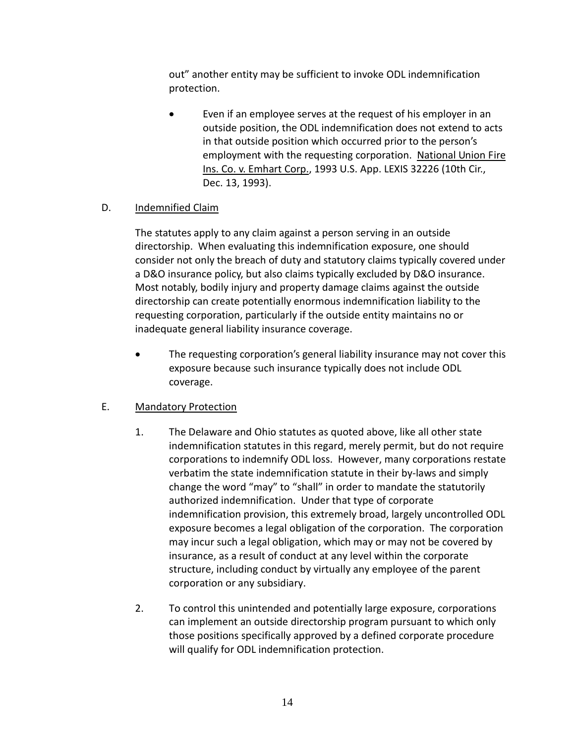out" another entity may be sufficient to invoke ODL indemnification protection.

Even if an employee serves at the request of his employer in an outside position, the ODL indemnification does not extend to acts in that outside position which occurred prior to the person's employment with the requesting corporation. National Union Fire Ins. Co. v. Emhart Corp., 1993 U.S. App. LEXIS 32226 (10th Cir., Dec. 13, 1993).

## D. Indemnified Claim

The statutes apply to any claim against a person serving in an outside directorship. When evaluating this indemnification exposure, one should consider not only the breach of duty and statutory claims typically covered under a D&O insurance policy, but also claims typically excluded by D&O insurance. Most notably, bodily injury and property damage claims against the outside directorship can create potentially enormous indemnification liability to the requesting corporation, particularly if the outside entity maintains no or inadequate general liability insurance coverage.

• The requesting corporation's general liability insurance may not cover this exposure because such insurance typically does not include ODL coverage.

## E. Mandatory Protection

- 1. The Delaware and Ohio statutes as quoted above, like all other state indemnification statutes in this regard, merely permit, but do not require corporations to indemnify ODL loss. However, many corporations restate verbatim the state indemnification statute in their by-laws and simply change the word "may" to "shall" in order to mandate the statutorily authorized indemnification. Under that type of corporate indemnification provision, this extremely broad, largely uncontrolled ODL exposure becomes a legal obligation of the corporation. The corporation may incur such a legal obligation, which may or may not be covered by insurance, as a result of conduct at any level within the corporate structure, including conduct by virtually any employee of the parent corporation or any subsidiary.
- 2. To control this unintended and potentially large exposure, corporations can implement an outside directorship program pursuant to which only those positions specifically approved by a defined corporate procedure will qualify for ODL indemnification protection.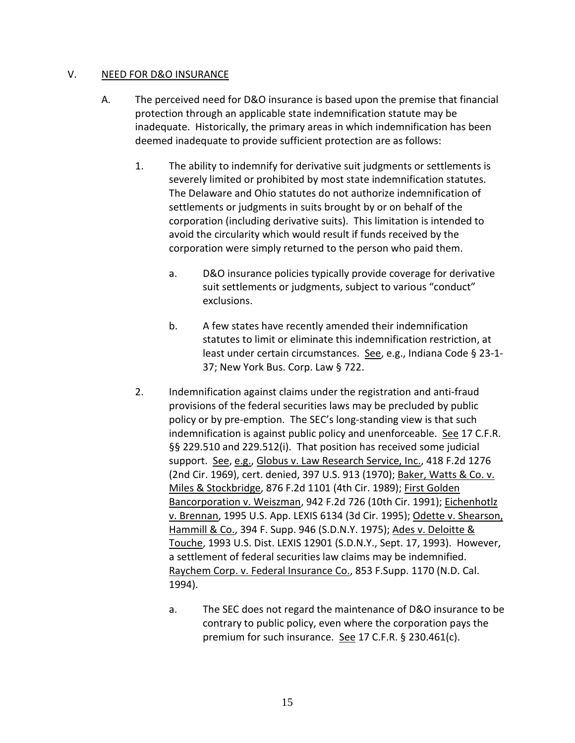#### V. NEED FOR D&O INSURANCE

- A. The perceived need for D&O insurance is based upon the premise that financial protection through an applicable state indemnification statute may be inadequate. Historically, the primary areas in which indemnification has been deemed inadequate to provide sufficient protection are as follows:
	- 1. The ability to indemnify for derivative suit judgments or settlements is severely limited or prohibited by most state indemnification statutes. The Delaware and Ohio statutes do not authorize indemnification of settlements or judgments in suits brought by or on behalf of the corporation (including derivative suits). This limitation is intended to avoid the circularity which would result if funds received by the corporation were simply returned to the person who paid them.
		- a. D&O insurance policies typically provide coverage for derivative suit settlements or judgments, subject to various "conduct" exclusions.
		- b. A few states have recently amended their indemnification statutes to limit or eliminate this indemnification restriction, at least under certain circumstances. See, e.g., Indiana Code § 23-1- 37; New York Bus. Corp. Law § 722.
	- 2. Indemnification against claims under the registration and anti-fraud provisions of the federal securities laws may be precluded by public policy or by pre-emption. The SEC's long-standing view is that such indemnification is against public policy and unenforceable. See 17 C.F.R. §§ 229.510 and 229.512(i). That position has received some judicial support. See, e.g., Globus v. Law Research Service, Inc., 418 F.2d 1276 (2nd Cir. 1969), cert. denied, 397 U.S. 913 (1970); Baker, Watts & Co. v. Miles & Stockbridge, 876 F.2d 1101 (4th Cir. 1989); First Golden Bancorporation v. Weiszman, 942 F.2d 726 (10th Cir. 1991); Eichenhotlz v. Brennan, 1995 U.S. App. LEXIS 6134 (3d Cir. 1995); Odette v. Shearson, Hammill & Co., 394 F. Supp. 946 (S.D.N.Y. 1975); Ades v. Deloitte & Touche, 1993 U.S. Dist. LEXIS 12901 (S.D.N.Y., Sept. 17, 1993). However, a settlement of federal securities law claims may be indemnified. Raychem Corp. v. Federal Insurance Co., 853 F.Supp. 1170 (N.D. Cal. 1994).
		- a. The SEC does not regard the maintenance of D&O insurance to be contrary to public policy, even where the corporation pays the premium for such insurance. See 17 C.F.R. § 230.461(c).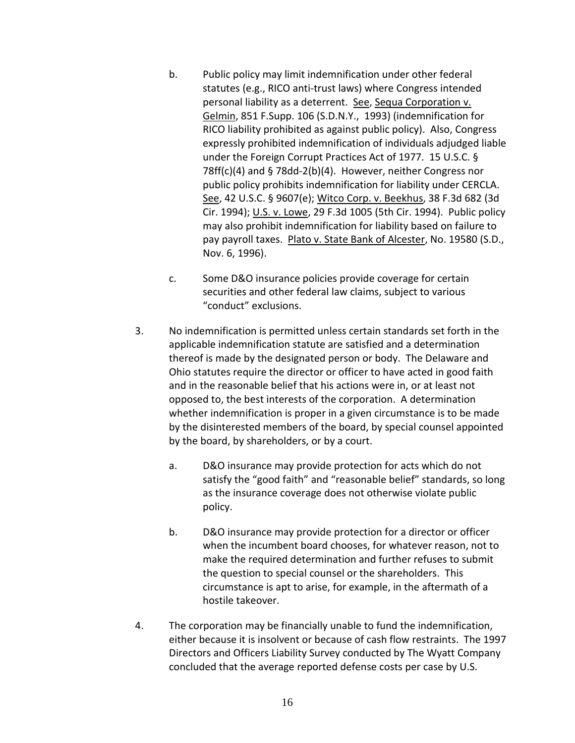- b. Public policy may limit indemnification under other federal statutes (e.g., RICO anti-trust laws) where Congress intended personal liability as a deterrent. See, Sequa Corporation v. Gelmin, 851 F.Supp. 106 (S.D.N.Y., 1993) (indemnification for RICO liability prohibited as against public policy). Also, Congress expressly prohibited indemnification of individuals adjudged liable under the Foreign Corrupt Practices Act of 1977. 15 U.S.C. § 78ff(c)(4) and § 78dd-2(b)(4). However, neither Congress nor public policy prohibits indemnification for liability under CERCLA. See, 42 U.S.C. § 9607(e); Witco Corp. v. Beekhus, 38 F.3d 682 (3d Cir. 1994); U.S. v. Lowe, 29 F.3d 1005 (5th Cir. 1994). Public policy may also prohibit indemnification for liability based on failure to pay payroll taxes. Plato v. State Bank of Alcester, No. 19580 (S.D., Nov. 6, 1996).
- c. Some D&O insurance policies provide coverage for certain securities and other federal law claims, subject to various "conduct" exclusions.
- 3. No indemnification is permitted unless certain standards set forth in the applicable indemnification statute are satisfied and a determination thereof is made by the designated person or body. The Delaware and Ohio statutes require the director or officer to have acted in good faith and in the reasonable belief that his actions were in, or at least not opposed to, the best interests of the corporation. A determination whether indemnification is proper in a given circumstance is to be made by the disinterested members of the board, by special counsel appointed by the board, by shareholders, or by a court.
	- a. D&O insurance may provide protection for acts which do not satisfy the "good faith" and "reasonable belief" standards, so long as the insurance coverage does not otherwise violate public policy.
	- b. D&O insurance may provide protection for a director or officer when the incumbent board chooses, for whatever reason, not to make the required determination and further refuses to submit the question to special counsel or the shareholders. This circumstance is apt to arise, for example, in the aftermath of a hostile takeover.
- 4. The corporation may be financially unable to fund the indemnification, either because it is insolvent or because of cash flow restraints. The 1997 Directors and Officers Liability Survey conducted by The Wyatt Company concluded that the average reported defense costs per case by U.S.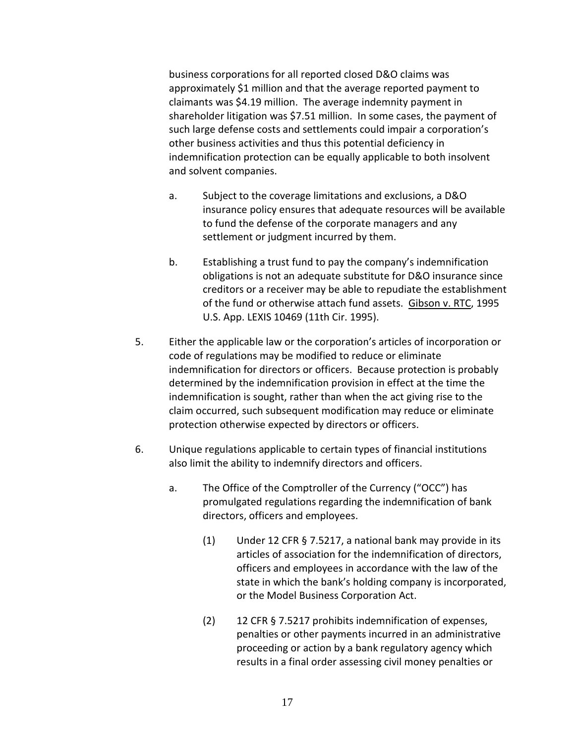business corporations for all reported closed D&O claims was approximately \$1 million and that the average reported payment to claimants was \$4.19 million. The average indemnity payment in shareholder litigation was \$7.51 million. In some cases, the payment of such large defense costs and settlements could impair a corporation's other business activities and thus this potential deficiency in indemnification protection can be equally applicable to both insolvent and solvent companies.

- a. Subject to the coverage limitations and exclusions, a D&O insurance policy ensures that adequate resources will be available to fund the defense of the corporate managers and any settlement or judgment incurred by them.
- b. Establishing a trust fund to pay the company's indemnification obligations is not an adequate substitute for D&O insurance since creditors or a receiver may be able to repudiate the establishment of the fund or otherwise attach fund assets. Gibson v. RTC, 1995 U.S. App. LEXIS 10469 (11th Cir. 1995).
- 5. Either the applicable law or the corporation's articles of incorporation or code of regulations may be modified to reduce or eliminate indemnification for directors or officers. Because protection is probably determined by the indemnification provision in effect at the time the indemnification is sought, rather than when the act giving rise to the claim occurred, such subsequent modification may reduce or eliminate protection otherwise expected by directors or officers.
- 6. Unique regulations applicable to certain types of financial institutions also limit the ability to indemnify directors and officers.
	- a. The Office of the Comptroller of the Currency ("OCC") has promulgated regulations regarding the indemnification of bank directors, officers and employees.
		- (1) Under 12 CFR § 7.5217, a national bank may provide in its articles of association for the indemnification of directors, officers and employees in accordance with the law of the state in which the bank's holding company is incorporated, or the Model Business Corporation Act.
		- (2) 12 CFR § 7.5217 prohibits indemnification of expenses, penalties or other payments incurred in an administrative proceeding or action by a bank regulatory agency which results in a final order assessing civil money penalties or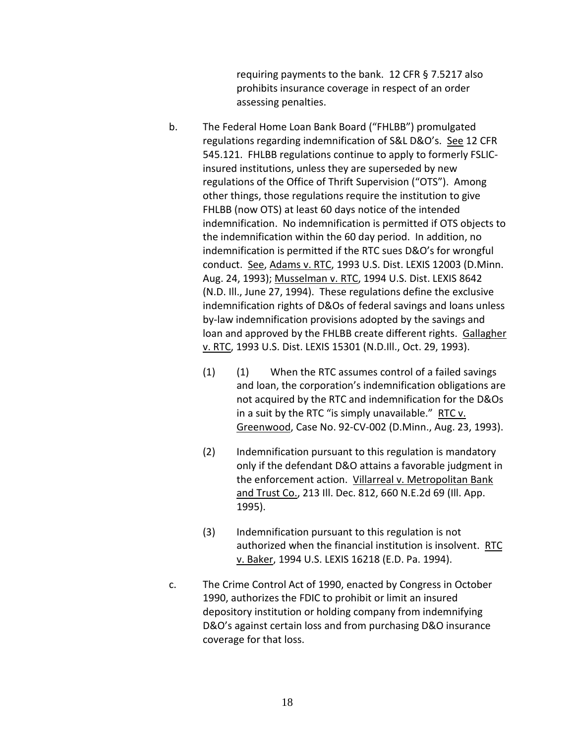requiring payments to the bank. 12 CFR § 7.5217 also prohibits insurance coverage in respect of an order assessing penalties.

- b. The Federal Home Loan Bank Board ("FHLBB") promulgated regulations regarding indemnification of S&L D&O's. See 12 CFR 545.121. FHLBB regulations continue to apply to formerly FSLICinsured institutions, unless they are superseded by new regulations of the Office of Thrift Supervision ("OTS"). Among other things, those regulations require the institution to give FHLBB (now OTS) at least 60 days notice of the intended indemnification. No indemnification is permitted if OTS objects to the indemnification within the 60 day period. In addition, no indemnification is permitted if the RTC sues D&O's for wrongful conduct. See, Adams v. RTC, 1993 U.S. Dist. LEXIS 12003 (D.Minn. Aug. 24, 1993); Musselman v. RTC, 1994 U.S. Dist. LEXIS 8642 (N.D. Ill., June 27, 1994). These regulations define the exclusive indemnification rights of D&Os of federal savings and loans unless by-law indemnification provisions adopted by the savings and loan and approved by the FHLBB create different rights. Gallagher v. RTC, 1993 U.S. Dist. LEXIS 15301 (N.D.Ill., Oct. 29, 1993).
	- (1) (1) When the RTC assumes control of a failed savings and loan, the corporation's indemnification obligations are not acquired by the RTC and indemnification for the D&Os in a suit by the RTC "is simply unavailable." RTC v. Greenwood, Case No. 92-CV-002 (D.Minn., Aug. 23, 1993).
	- (2) Indemnification pursuant to this regulation is mandatory only if the defendant D&O attains a favorable judgment in the enforcement action. Villarreal v. Metropolitan Bank and Trust Co., 213 Ill. Dec. 812, 660 N.E.2d 69 (Ill. App. 1995).
	- (3) Indemnification pursuant to this regulation is not authorized when the financial institution is insolvent. RTC v. Baker, 1994 U.S. LEXIS 16218 (E.D. Pa. 1994).
- c. The Crime Control Act of 1990, enacted by Congress in October 1990, authorizes the FDIC to prohibit or limit an insured depository institution or holding company from indemnifying D&O's against certain loss and from purchasing D&O insurance coverage for that loss.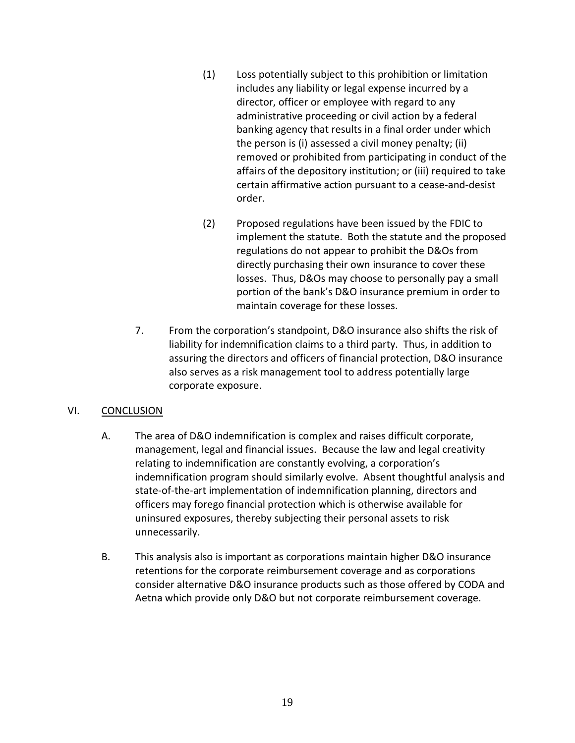- (1) Loss potentially subject to this prohibition or limitation includes any liability or legal expense incurred by a director, officer or employee with regard to any administrative proceeding or civil action by a federal banking agency that results in a final order under which the person is (i) assessed a civil money penalty; (ii) removed or prohibited from participating in conduct of the affairs of the depository institution; or (iii) required to take certain affirmative action pursuant to a cease-and-desist order.
- (2) Proposed regulations have been issued by the FDIC to implement the statute. Both the statute and the proposed regulations do not appear to prohibit the D&Os from directly purchasing their own insurance to cover these losses. Thus, D&Os may choose to personally pay a small portion of the bank's D&O insurance premium in order to maintain coverage for these losses.
- 7. From the corporation's standpoint, D&O insurance also shifts the risk of liability for indemnification claims to a third party. Thus, in addition to assuring the directors and officers of financial protection, D&O insurance also serves as a risk management tool to address potentially large corporate exposure.

## VI. CONCLUSION

- A. The area of D&O indemnification is complex and raises difficult corporate, management, legal and financial issues. Because the law and legal creativity relating to indemnification are constantly evolving, a corporation's indemnification program should similarly evolve. Absent thoughtful analysis and state-of-the-art implementation of indemnification planning, directors and officers may forego financial protection which is otherwise available for uninsured exposures, thereby subjecting their personal assets to risk unnecessarily.
- B. This analysis also is important as corporations maintain higher D&O insurance retentions for the corporate reimbursement coverage and as corporations consider alternative D&O insurance products such as those offered by CODA and Aetna which provide only D&O but not corporate reimbursement coverage.